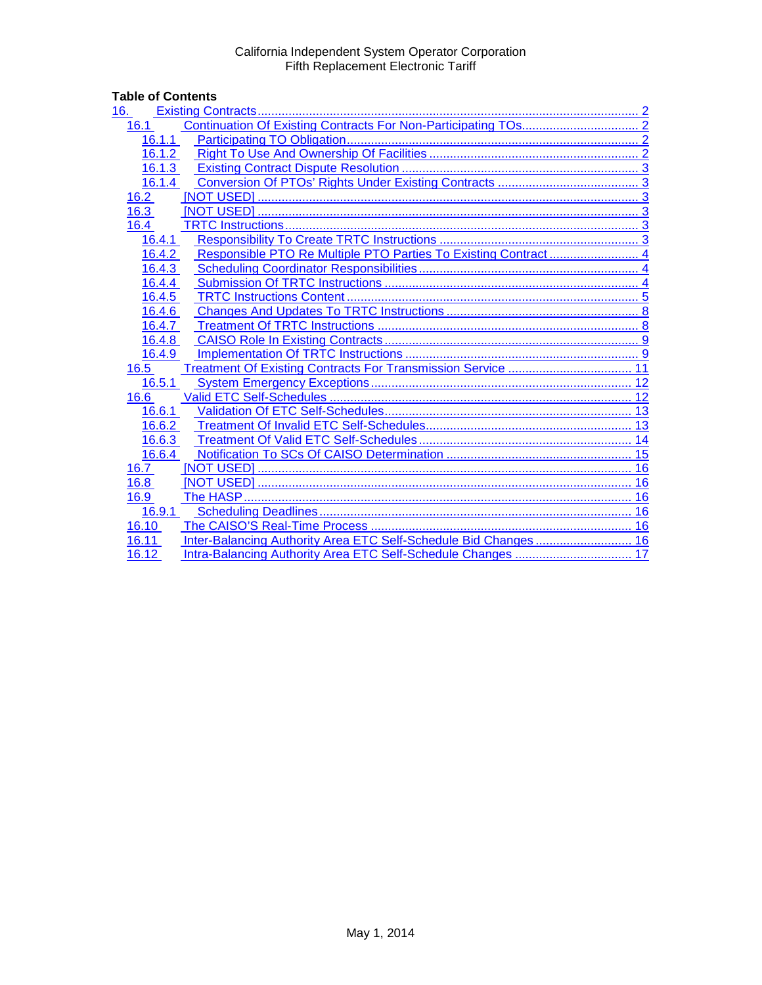# Table of Contents<br>16. Existing Co

| 16.    |    |
|--------|----|
| 16.1   |    |
| 16.1.1 |    |
| 16.1.2 |    |
| 16.1.3 |    |
| 16.1.4 |    |
| 16.2   |    |
| 16.3   |    |
| 16.4   |    |
| 16.4.1 |    |
| 16.4.2 |    |
| 16.4.3 |    |
| 16.4.4 |    |
| 16.4.5 |    |
| 16.4.6 |    |
| 16.4.7 |    |
| 16.4.8 |    |
| 16.4.9 |    |
| 16.5   |    |
| 16.5.1 |    |
| 16.6   |    |
| 16.6.1 |    |
| 16.6.2 |    |
| 16.6.3 | 14 |
| 16.6.4 |    |
| 16.7   |    |
| 16.8   | 16 |
| 16.9   | 16 |
| 16.9.1 |    |
| 16.10  |    |
| 16.11  |    |
| 16.12  |    |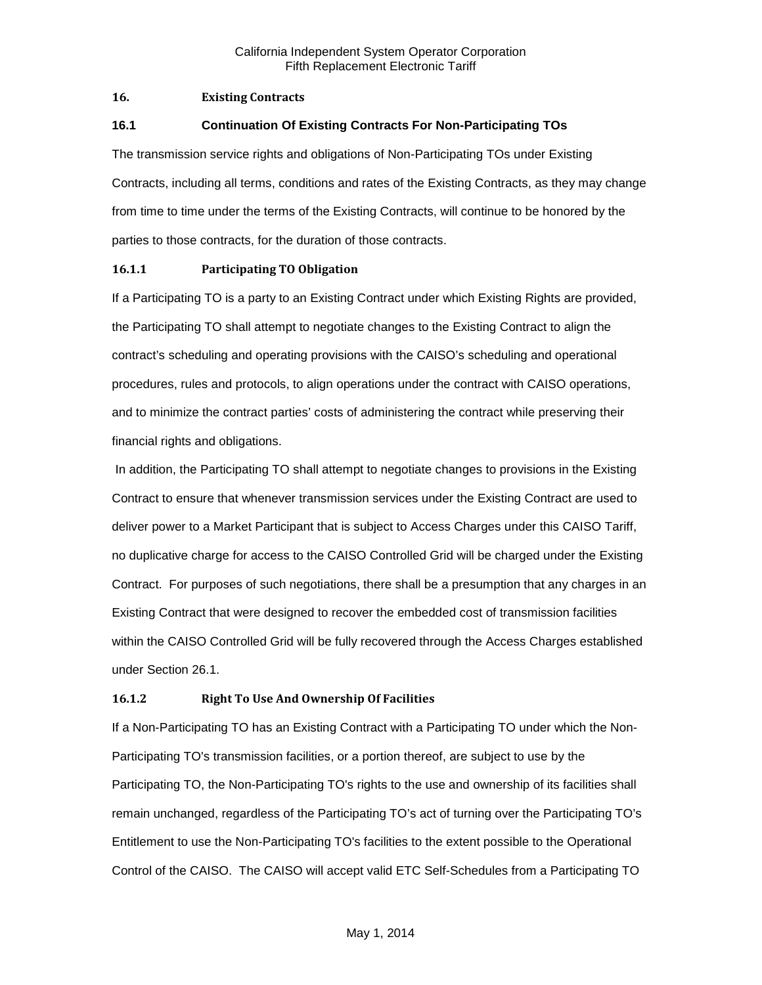#### <span id="page-1-0"></span>**16. Existing Contracts**

#### <span id="page-1-1"></span>**16.1 Continuation Of Existing Contracts For Non-Participating TOs**

The transmission service rights and obligations of Non-Participating TOs under Existing Contracts, including all terms, conditions and rates of the Existing Contracts, as they may change from time to time under the terms of the Existing Contracts, will continue to be honored by the parties to those contracts, for the duration of those contracts.

#### <span id="page-1-2"></span>**16.1.1 Participating TO Obligation**

If a Participating TO is a party to an Existing Contract under which Existing Rights are provided, the Participating TO shall attempt to negotiate changes to the Existing Contract to align the contract's scheduling and operating provisions with the CAISO's scheduling and operational procedures, rules and protocols, to align operations under the contract with CAISO operations, and to minimize the contract parties' costs of administering the contract while preserving their financial rights and obligations.

In addition, the Participating TO shall attempt to negotiate changes to provisions in the Existing Contract to ensure that whenever transmission services under the Existing Contract are used to deliver power to a Market Participant that is subject to Access Charges under this CAISO Tariff, no duplicative charge for access to the CAISO Controlled Grid will be charged under the Existing Contract. For purposes of such negotiations, there shall be a presumption that any charges in an Existing Contract that were designed to recover the embedded cost of transmission facilities within the CAISO Controlled Grid will be fully recovered through the Access Charges established under Section 26.1.

#### <span id="page-1-3"></span>**16.1.2 Right To Use And Ownership Of Facilities**

If a Non-Participating TO has an Existing Contract with a Participating TO under which the Non-Participating TO's transmission facilities, or a portion thereof, are subject to use by the Participating TO, the Non-Participating TO's rights to the use and ownership of its facilities shall remain unchanged, regardless of the Participating TO's act of turning over the Participating TO's Entitlement to use the Non-Participating TO's facilities to the extent possible to the Operational Control of the CAISO. The CAISO will accept valid ETC Self-Schedules from a Participating TO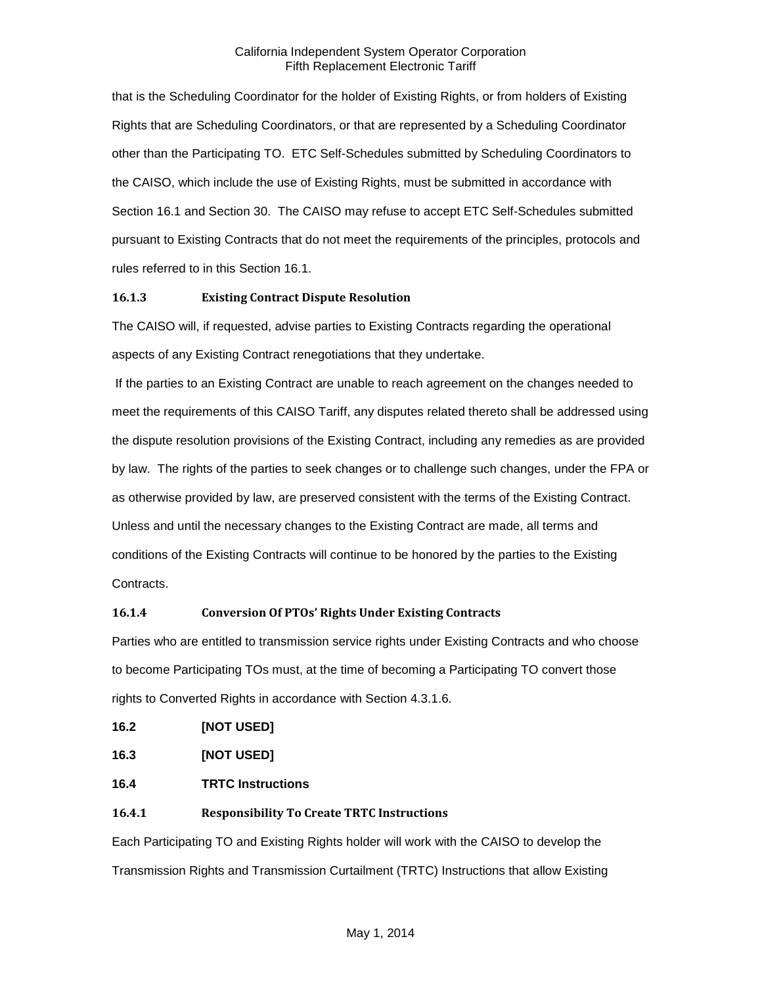that is the Scheduling Coordinator for the holder of Existing Rights, or from holders of Existing Rights that are Scheduling Coordinators, or that are represented by a Scheduling Coordinator other than the Participating TO. ETC Self-Schedules submitted by Scheduling Coordinators to the CAISO, which include the use of Existing Rights, must be submitted in accordance with Section 16.1 and Section 30. The CAISO may refuse to accept ETC Self-Schedules submitted pursuant to Existing Contracts that do not meet the requirements of the principles, protocols and rules referred to in this Section 16.1.

#### <span id="page-2-0"></span>**16.1.3 Existing Contract Dispute Resolution**

The CAISO will, if requested, advise parties to Existing Contracts regarding the operational aspects of any Existing Contract renegotiations that they undertake.

If the parties to an Existing Contract are unable to reach agreement on the changes needed to meet the requirements of this CAISO Tariff, any disputes related thereto shall be addressed using the dispute resolution provisions of the Existing Contract, including any remedies as are provided by law. The rights of the parties to seek changes or to challenge such changes, under the FPA or as otherwise provided by law, are preserved consistent with the terms of the Existing Contract. Unless and until the necessary changes to the Existing Contract are made, all terms and conditions of the Existing Contracts will continue to be honored by the parties to the Existing Contracts.

# <span id="page-2-1"></span>**16.1.4 Conversion Of PTOs' Rights Under Existing Contracts**

Parties who are entitled to transmission service rights under Existing Contracts and who choose to become Participating TOs must, at the time of becoming a Participating TO convert those rights to Converted Rights in accordance with Section 4.3.1.6.

<span id="page-2-2"></span>

| 16.2 | [NOT USED] |
|------|------------|
|------|------------|

<span id="page-2-3"></span>**16.3 [NOT USED]**

- <span id="page-2-4"></span>**16.4 TRTC Instructions**
- <span id="page-2-5"></span>**16.4.1 Responsibility To Create TRTC Instructions**

Each Participating TO and Existing Rights holder will work with the CAISO to develop the Transmission Rights and Transmission Curtailment (TRTC) Instructions that allow Existing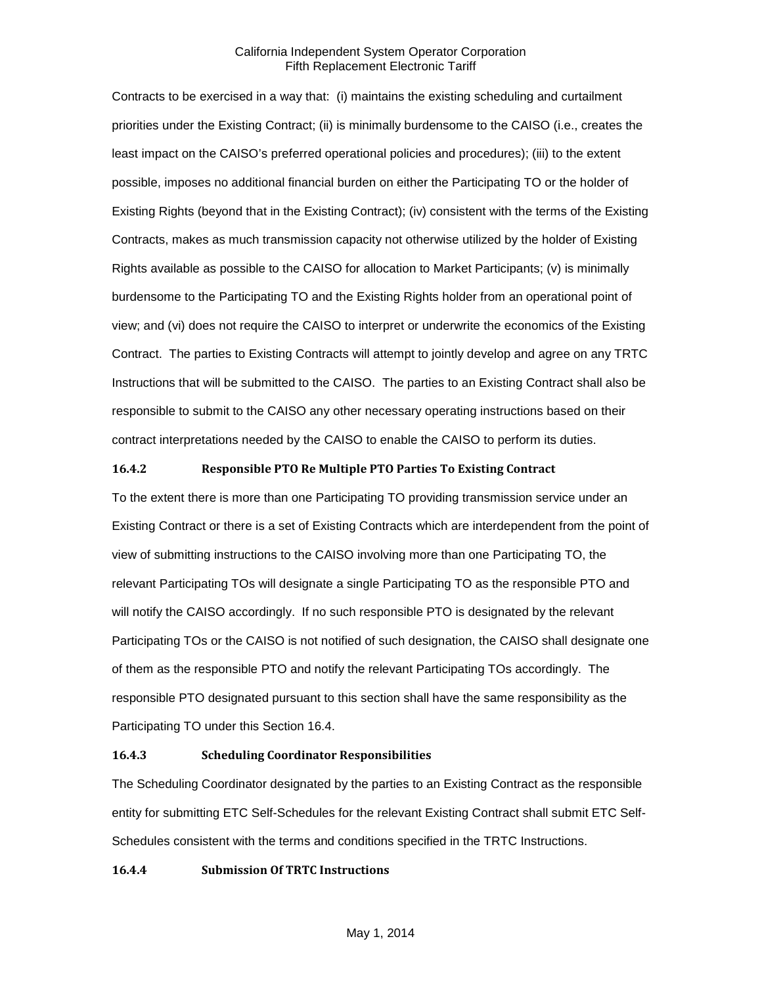Contracts to be exercised in a way that: (i) maintains the existing scheduling and curtailment priorities under the Existing Contract; (ii) is minimally burdensome to the CAISO (i.e., creates the least impact on the CAISO's preferred operational policies and procedures); (iii) to the extent possible, imposes no additional financial burden on either the Participating TO or the holder of Existing Rights (beyond that in the Existing Contract); (iv) consistent with the terms of the Existing Contracts, makes as much transmission capacity not otherwise utilized by the holder of Existing Rights available as possible to the CAISO for allocation to Market Participants; (v) is minimally burdensome to the Participating TO and the Existing Rights holder from an operational point of view; and (vi) does not require the CAISO to interpret or underwrite the economics of the Existing Contract. The parties to Existing Contracts will attempt to jointly develop and agree on any TRTC Instructions that will be submitted to the CAISO. The parties to an Existing Contract shall also be responsible to submit to the CAISO any other necessary operating instructions based on their contract interpretations needed by the CAISO to enable the CAISO to perform its duties.

#### <span id="page-3-0"></span>**16.4.2 Responsible PTO Re Multiple PTO Parties To Existing Contract**

To the extent there is more than one Participating TO providing transmission service under an Existing Contract or there is a set of Existing Contracts which are interdependent from the point of view of submitting instructions to the CAISO involving more than one Participating TO, the relevant Participating TOs will designate a single Participating TO as the responsible PTO and will notify the CAISO accordingly. If no such responsible PTO is designated by the relevant Participating TOs or the CAISO is not notified of such designation, the CAISO shall designate one of them as the responsible PTO and notify the relevant Participating TOs accordingly. The responsible PTO designated pursuant to this section shall have the same responsibility as the Participating TO under this Section 16.4.

#### <span id="page-3-1"></span>**16.4.3 Scheduling Coordinator Responsibilities**

The Scheduling Coordinator designated by the parties to an Existing Contract as the responsible entity for submitting ETC Self-Schedules for the relevant Existing Contract shall submit ETC Self-Schedules consistent with the terms and conditions specified in the TRTC Instructions.

#### <span id="page-3-2"></span>**16.4.4 Submission Of TRTC Instructions**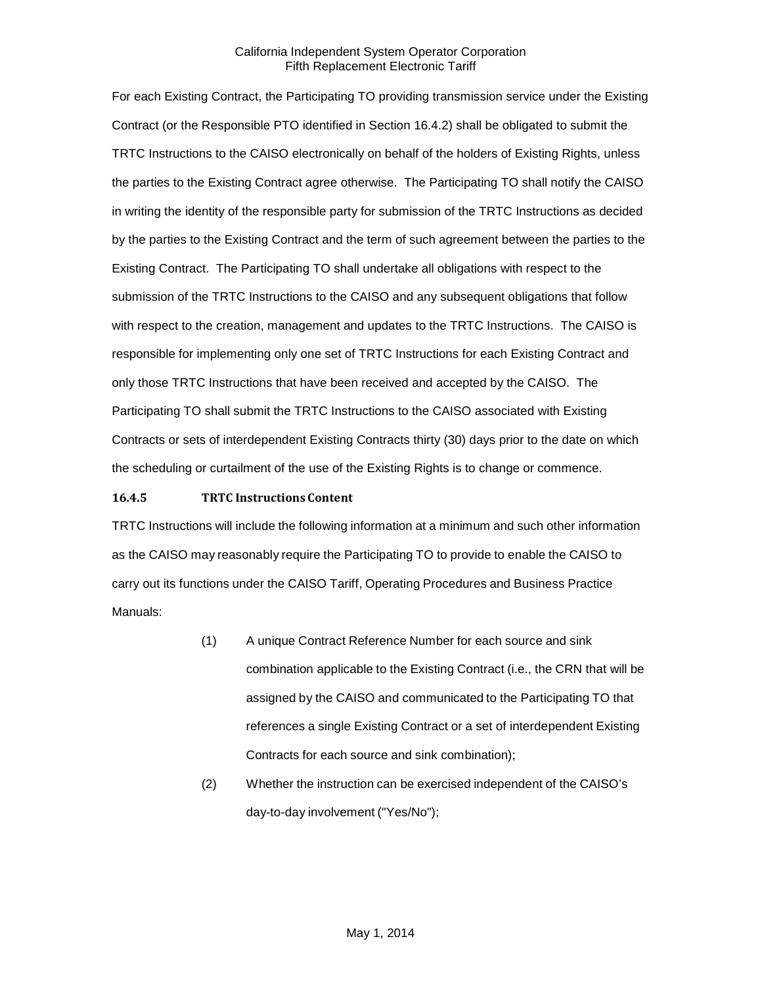For each Existing Contract, the Participating TO providing transmission service under the Existing Contract (or the Responsible PTO identified in Section 16.4.2) shall be obligated to submit the TRTC Instructions to the CAISO electronically on behalf of the holders of Existing Rights, unless the parties to the Existing Contract agree otherwise. The Participating TO shall notify the CAISO in writing the identity of the responsible party for submission of the TRTC Instructions as decided by the parties to the Existing Contract and the term of such agreement between the parties to the Existing Contract. The Participating TO shall undertake all obligations with respect to the submission of the TRTC Instructions to the CAISO and any subsequent obligations that follow with respect to the creation, management and updates to the TRTC Instructions. The CAISO is responsible for implementing only one set of TRTC Instructions for each Existing Contract and only those TRTC Instructions that have been received and accepted by the CAISO. The Participating TO shall submit the TRTC Instructions to the CAISO associated with Existing Contracts or sets of interdependent Existing Contracts thirty (30) days prior to the date on which the scheduling or curtailment of the use of the Existing Rights is to change or commence.

#### <span id="page-4-0"></span>**16.4.5 TRTC Instructions Content**

TRTC Instructions will include the following information at a minimum and such other information as the CAISO may reasonably require the Participating TO to provide to enable the CAISO to carry out its functions under the CAISO Tariff, Operating Procedures and Business Practice Manuals:

- (1) A unique Contract Reference Number for each source and sink combination applicable to the Existing Contract (i.e., the CRN that will be assigned by the CAISO and communicated to the Participating TO that references a single Existing Contract or a set of interdependent Existing Contracts for each source and sink combination);
- (2) Whether the instruction can be exercised independent of the CAISO's day-to-day involvement ("Yes/No");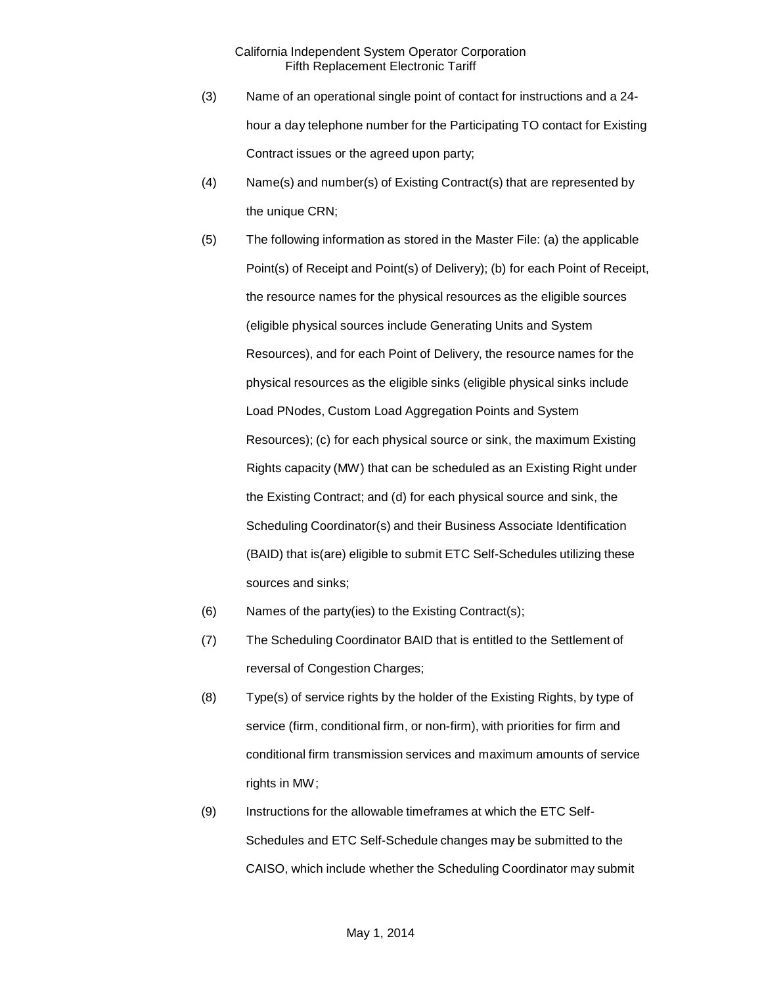- (3) Name of an operational single point of contact for instructions and a 24 hour a day telephone number for the Participating TO contact for Existing Contract issues or the agreed upon party;
- (4) Name(s) and number(s) of Existing Contract(s) that are represented by the unique CRN;
- (5) The following information as stored in the Master File: (a) the applicable Point(s) of Receipt and Point(s) of Delivery); (b) for each Point of Receipt, the resource names for the physical resources as the eligible sources (eligible physical sources include Generating Units and System Resources), and for each Point of Delivery, the resource names for the physical resources as the eligible sinks (eligible physical sinks include Load PNodes, Custom Load Aggregation Points and System Resources); (c) for each physical source or sink, the maximum Existing Rights capacity (MW) that can be scheduled as an Existing Right under the Existing Contract; and (d) for each physical source and sink, the Scheduling Coordinator(s) and their Business Associate Identification (BAID) that is(are) eligible to submit ETC Self-Schedules utilizing these sources and sinks;
- (6) Names of the party(ies) to the Existing Contract(s);
- (7) The Scheduling Coordinator BAID that is entitled to the Settlement of reversal of Congestion Charges;
- (8) Type(s) of service rights by the holder of the Existing Rights, by type of service (firm, conditional firm, or non-firm), with priorities for firm and conditional firm transmission services and maximum amounts of service rights in MW;
- (9) Instructions for the allowable timeframes at which the ETC Self-Schedules and ETC Self-Schedule changes may be submitted to the CAISO, which include whether the Scheduling Coordinator may submit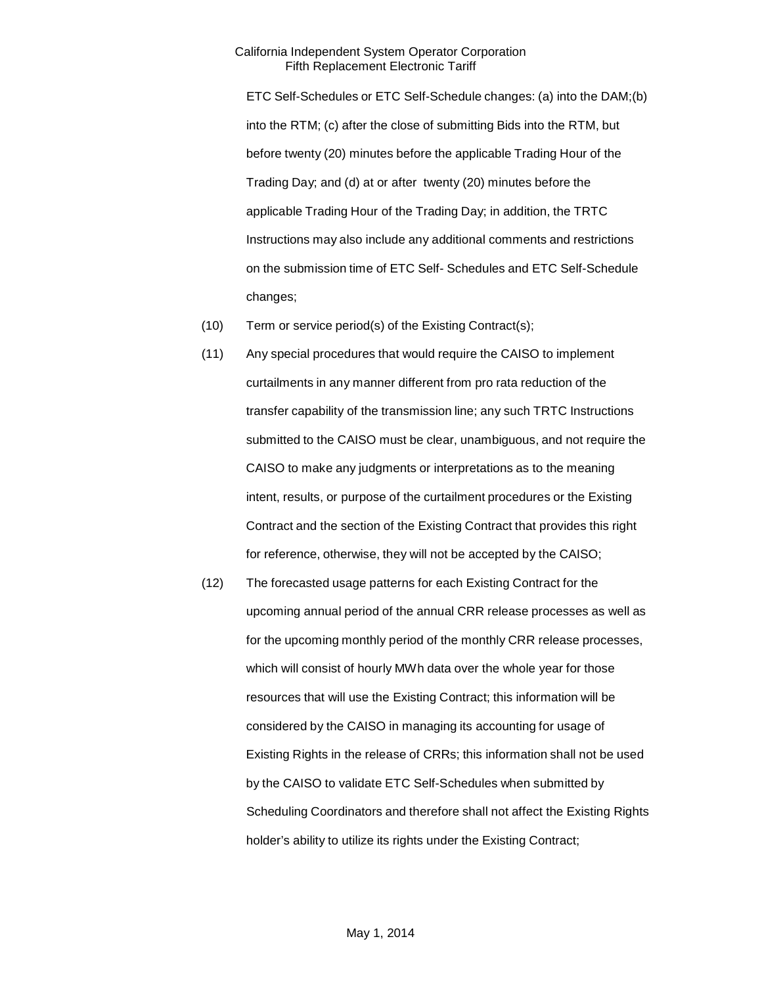ETC Self-Schedules or ETC Self-Schedule changes: (a) into the DAM;(b) into the RTM; (c) after the close of submitting Bids into the RTM, but before twenty (20) minutes before the applicable Trading Hour of the Trading Day; and (d) at or after twenty (20) minutes before the applicable Trading Hour of the Trading Day; in addition, the TRTC Instructions may also include any additional comments and restrictions on the submission time of ETC Self- Schedules and ETC Self-Schedule changes;

- (10) Term or service period(s) of the Existing Contract(s);
- (11) Any special procedures that would require the CAISO to implement curtailments in any manner different from pro rata reduction of the transfer capability of the transmission line; any such TRTC Instructions submitted to the CAISO must be clear, unambiguous, and not require the CAISO to make any judgments or interpretations as to the meaning intent, results, or purpose of the curtailment procedures or the Existing Contract and the section of the Existing Contract that provides this right for reference, otherwise, they will not be accepted by the CAISO;
- (12) The forecasted usage patterns for each Existing Contract for the upcoming annual period of the annual CRR release processes as well as for the upcoming monthly period of the monthly CRR release processes, which will consist of hourly MWh data over the whole year for those resources that will use the Existing Contract; this information will be considered by the CAISO in managing its accounting for usage of Existing Rights in the release of CRRs; this information shall not be used by the CAISO to validate ETC Self-Schedules when submitted by Scheduling Coordinators and therefore shall not affect the Existing Rights holder's ability to utilize its rights under the Existing Contract;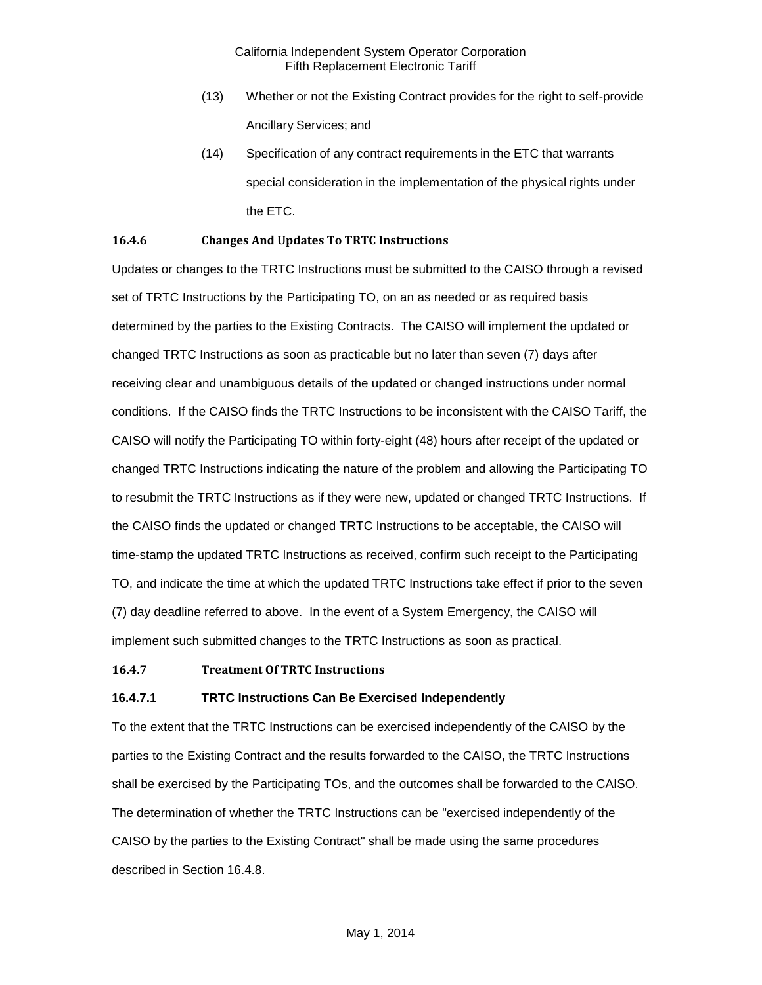- (13) Whether or not the Existing Contract provides for the right to self-provide Ancillary Services; and
- (14) Specification of any contract requirements in the ETC that warrants special consideration in the implementation of the physical rights under the ETC.

#### <span id="page-7-0"></span>**16.4.6 Changes And Updates To TRTC Instructions**

Updates or changes to the TRTC Instructions must be submitted to the CAISO through a revised set of TRTC Instructions by the Participating TO, on an as needed or as required basis determined by the parties to the Existing Contracts. The CAISO will implement the updated or changed TRTC Instructions as soon as practicable but no later than seven (7) days after receiving clear and unambiguous details of the updated or changed instructions under normal conditions. If the CAISO finds the TRTC Instructions to be inconsistent with the CAISO Tariff, the CAISO will notify the Participating TO within forty-eight (48) hours after receipt of the updated or changed TRTC Instructions indicating the nature of the problem and allowing the Participating TO to resubmit the TRTC Instructions as if they were new, updated or changed TRTC Instructions. If the CAISO finds the updated or changed TRTC Instructions to be acceptable, the CAISO will time-stamp the updated TRTC Instructions as received, confirm such receipt to the Participating TO, and indicate the time at which the updated TRTC Instructions take effect if prior to the seven (7) day deadline referred to above. In the event of a System Emergency, the CAISO will implement such submitted changes to the TRTC Instructions as soon as practical.

#### <span id="page-7-1"></span>**16.4.7 Treatment Of TRTC Instructions**

#### **16.4.7.1 TRTC Instructions Can Be Exercised Independently**

To the extent that the TRTC Instructions can be exercised independently of the CAISO by the parties to the Existing Contract and the results forwarded to the CAISO, the TRTC Instructions shall be exercised by the Participating TOs, and the outcomes shall be forwarded to the CAISO. The determination of whether the TRTC Instructions can be "exercised independently of the CAISO by the parties to the Existing Contract" shall be made using the same procedures described in Section 16.4.8.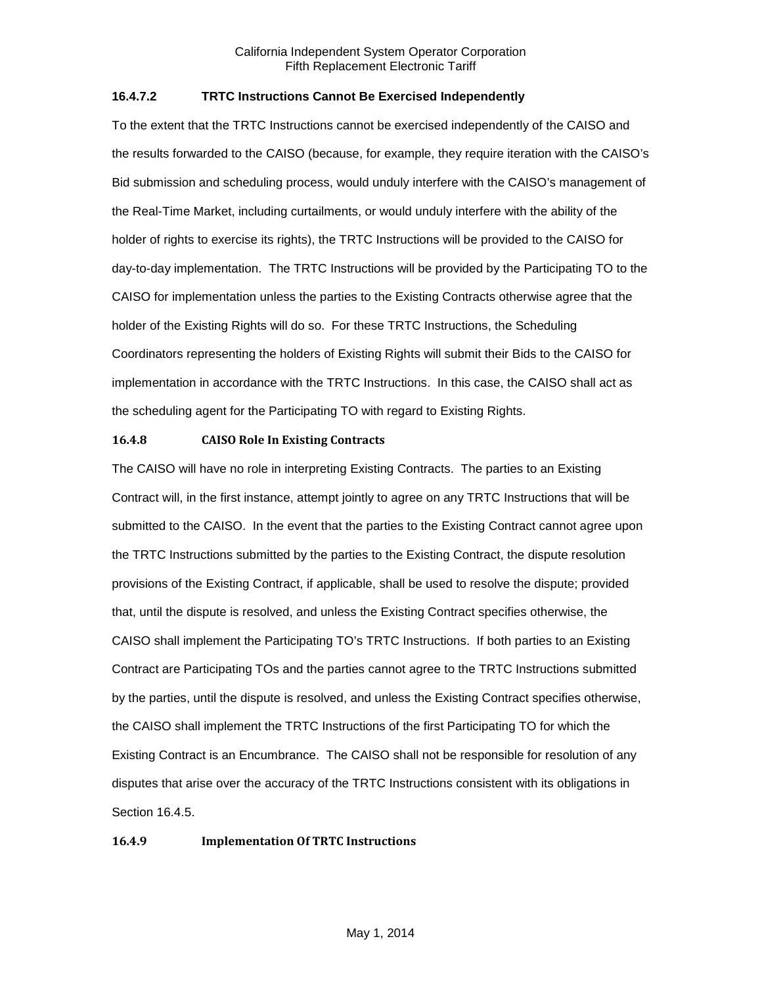#### **16.4.7.2 TRTC Instructions Cannot Be Exercised Independently**

To the extent that the TRTC Instructions cannot be exercised independently of the CAISO and the results forwarded to the CAISO (because, for example, they require iteration with the CAISO's Bid submission and scheduling process, would unduly interfere with the CAISO's management of the Real-Time Market, including curtailments, or would unduly interfere with the ability of the holder of rights to exercise its rights), the TRTC Instructions will be provided to the CAISO for day-to-day implementation. The TRTC Instructions will be provided by the Participating TO to the CAISO for implementation unless the parties to the Existing Contracts otherwise agree that the holder of the Existing Rights will do so. For these TRTC Instructions, the Scheduling Coordinators representing the holders of Existing Rights will submit their Bids to the CAISO for implementation in accordance with the TRTC Instructions. In this case, the CAISO shall act as the scheduling agent for the Participating TO with regard to Existing Rights.

#### <span id="page-8-0"></span>**16.4.8 CAISO Role In Existing Contracts**

The CAISO will have no role in interpreting Existing Contracts. The parties to an Existing Contract will, in the first instance, attempt jointly to agree on any TRTC Instructions that will be submitted to the CAISO. In the event that the parties to the Existing Contract cannot agree upon the TRTC Instructions submitted by the parties to the Existing Contract, the dispute resolution provisions of the Existing Contract, if applicable, shall be used to resolve the dispute; provided that, until the dispute is resolved, and unless the Existing Contract specifies otherwise, the CAISO shall implement the Participating TO's TRTC Instructions. If both parties to an Existing Contract are Participating TOs and the parties cannot agree to the TRTC Instructions submitted by the parties, until the dispute is resolved, and unless the Existing Contract specifies otherwise, the CAISO shall implement the TRTC Instructions of the first Participating TO for which the Existing Contract is an Encumbrance. The CAISO shall not be responsible for resolution of any disputes that arise over the accuracy of the TRTC Instructions consistent with its obligations in Section 16.4.5.

#### <span id="page-8-1"></span>**16.4.9 Implementation Of TRTC Instructions**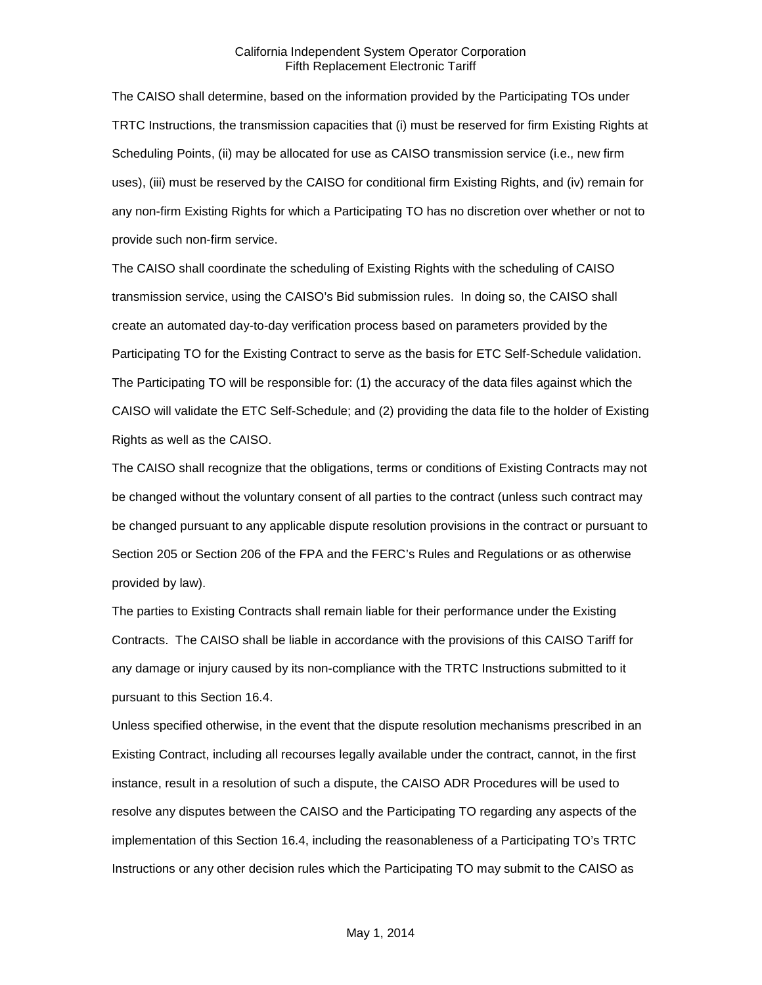The CAISO shall determine, based on the information provided by the Participating TOs under TRTC Instructions, the transmission capacities that (i) must be reserved for firm Existing Rights at Scheduling Points, (ii) may be allocated for use as CAISO transmission service (i.e., new firm uses), (iii) must be reserved by the CAISO for conditional firm Existing Rights, and (iv) remain for any non-firm Existing Rights for which a Participating TO has no discretion over whether or not to provide such non-firm service.

The CAISO shall coordinate the scheduling of Existing Rights with the scheduling of CAISO transmission service, using the CAISO's Bid submission rules. In doing so, the CAISO shall create an automated day-to-day verification process based on parameters provided by the Participating TO for the Existing Contract to serve as the basis for ETC Self-Schedule validation. The Participating TO will be responsible for: (1) the accuracy of the data files against which the CAISO will validate the ETC Self-Schedule; and (2) providing the data file to the holder of Existing Rights as well as the CAISO.

The CAISO shall recognize that the obligations, terms or conditions of Existing Contracts may not be changed without the voluntary consent of all parties to the contract (unless such contract may be changed pursuant to any applicable dispute resolution provisions in the contract or pursuant to Section 205 or Section 206 of the FPA and the FERC's Rules and Regulations or as otherwise provided by law).

The parties to Existing Contracts shall remain liable for their performance under the Existing Contracts. The CAISO shall be liable in accordance with the provisions of this CAISO Tariff for any damage or injury caused by its non-compliance with the TRTC Instructions submitted to it pursuant to this Section 16.4.

Unless specified otherwise, in the event that the dispute resolution mechanisms prescribed in an Existing Contract, including all recourses legally available under the contract, cannot, in the first instance, result in a resolution of such a dispute, the CAISO ADR Procedures will be used to resolve any disputes between the CAISO and the Participating TO regarding any aspects of the implementation of this Section 16.4, including the reasonableness of a Participating TO's TRTC Instructions or any other decision rules which the Participating TO may submit to the CAISO as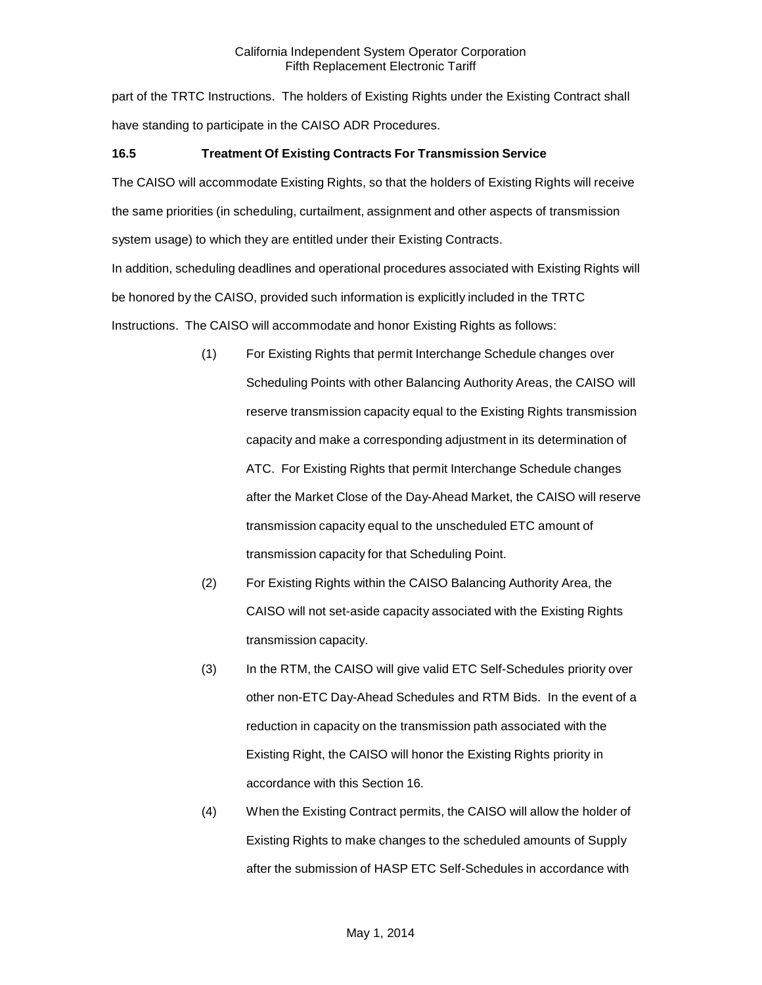part of the TRTC Instructions. The holders of Existing Rights under the Existing Contract shall have standing to participate in the CAISO ADR Procedures.

# <span id="page-10-0"></span>**16.5 Treatment Of Existing Contracts For Transmission Service**

The CAISO will accommodate Existing Rights, so that the holders of Existing Rights will receive the same priorities (in scheduling, curtailment, assignment and other aspects of transmission system usage) to which they are entitled under their Existing Contracts.

In addition, scheduling deadlines and operational procedures associated with Existing Rights will be honored by the CAISO, provided such information is explicitly included in the TRTC Instructions. The CAISO will accommodate and honor Existing Rights as follows:

- (1) For Existing Rights that permit Interchange Schedule changes over Scheduling Points with other Balancing Authority Areas, the CAISO will reserve transmission capacity equal to the Existing Rights transmission capacity and make a corresponding adjustment in its determination of ATC. For Existing Rights that permit Interchange Schedule changes after the Market Close of the Day-Ahead Market, the CAISO will reserve transmission capacity equal to the unscheduled ETC amount of transmission capacity for that Scheduling Point.
- (2) For Existing Rights within the CAISO Balancing Authority Area, the CAISO will not set-aside capacity associated with the Existing Rights transmission capacity.
- (3) In the RTM, the CAISO will give valid ETC Self-Schedules priority over other non-ETC Day-Ahead Schedules and RTM Bids. In the event of a reduction in capacity on the transmission path associated with the Existing Right, the CAISO will honor the Existing Rights priority in accordance with this Section 16.
- (4) When the Existing Contract permits, the CAISO will allow the holder of Existing Rights to make changes to the scheduled amounts of Supply after the submission of HASP ETC Self-Schedules in accordance with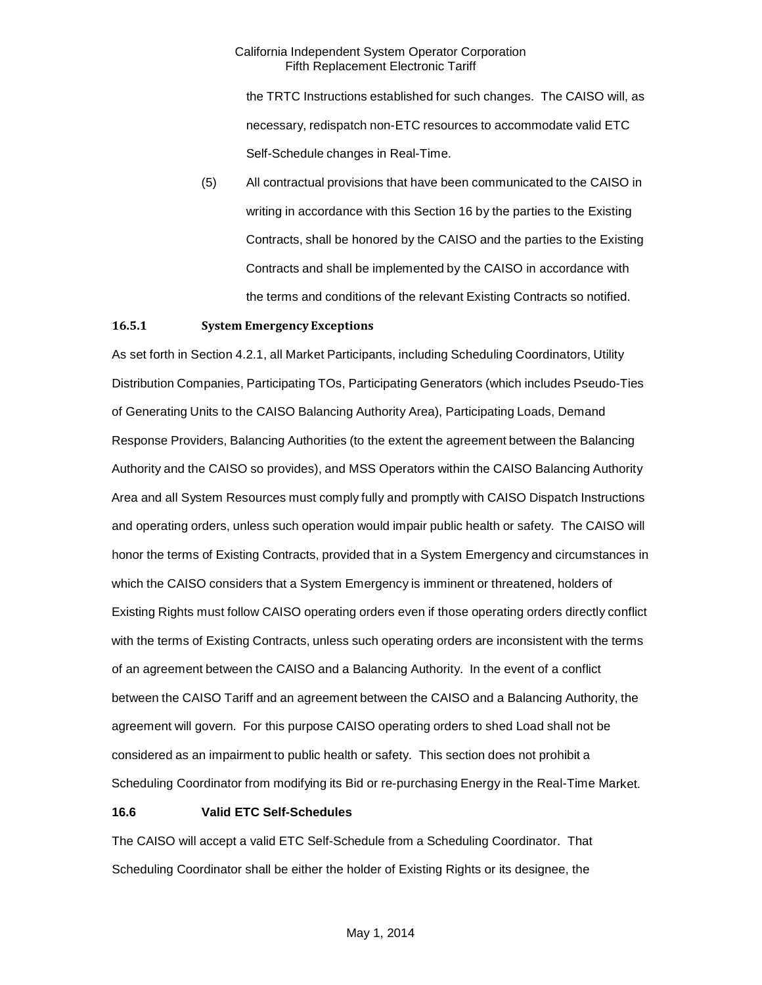the TRTC Instructions established for such changes. The CAISO will, as necessary, redispatch non-ETC resources to accommodate valid ETC Self-Schedule changes in Real-Time.

(5) All contractual provisions that have been communicated to the CAISO in writing in accordance with this Section 16 by the parties to the Existing Contracts, shall be honored by the CAISO and the parties to the Existing Contracts and shall be implemented by the CAISO in accordance with the terms and conditions of the relevant Existing Contracts so notified.

#### <span id="page-11-0"></span>**16.5.1 System Emergency Exceptions**

As set forth in Section 4.2.1, all Market Participants, including Scheduling Coordinators, Utility Distribution Companies, Participating TOs, Participating Generators (which includes Pseudo-Ties of Generating Units to the CAISO Balancing Authority Area), Participating Loads, Demand Response Providers, Balancing Authorities (to the extent the agreement between the Balancing Authority and the CAISO so provides), and MSS Operators within the CAISO Balancing Authority Area and all System Resources must comply fully and promptly with CAISO Dispatch Instructions and operating orders, unless such operation would impair public health or safety. The CAISO will honor the terms of Existing Contracts, provided that in a System Emergency and circumstances in which the CAISO considers that a System Emergency is imminent or threatened, holders of Existing Rights must follow CAISO operating orders even if those operating orders directly conflict with the terms of Existing Contracts, unless such operating orders are inconsistent with the terms of an agreement between the CAISO and a Balancing Authority. In the event of a conflict between the CAISO Tariff and an agreement between the CAISO and a Balancing Authority, the agreement will govern. For this purpose CAISO operating orders to shed Load shall not be considered as an impairment to public health or safety. This section does not prohibit a Scheduling Coordinator from modifying its Bid or re-purchasing Energy in the Real-Time Market.

#### <span id="page-11-1"></span>**16.6 Valid ETC Self-Schedules**

The CAISO will accept a valid ETC Self-Schedule from a Scheduling Coordinator. That Scheduling Coordinator shall be either the holder of Existing Rights or its designee, the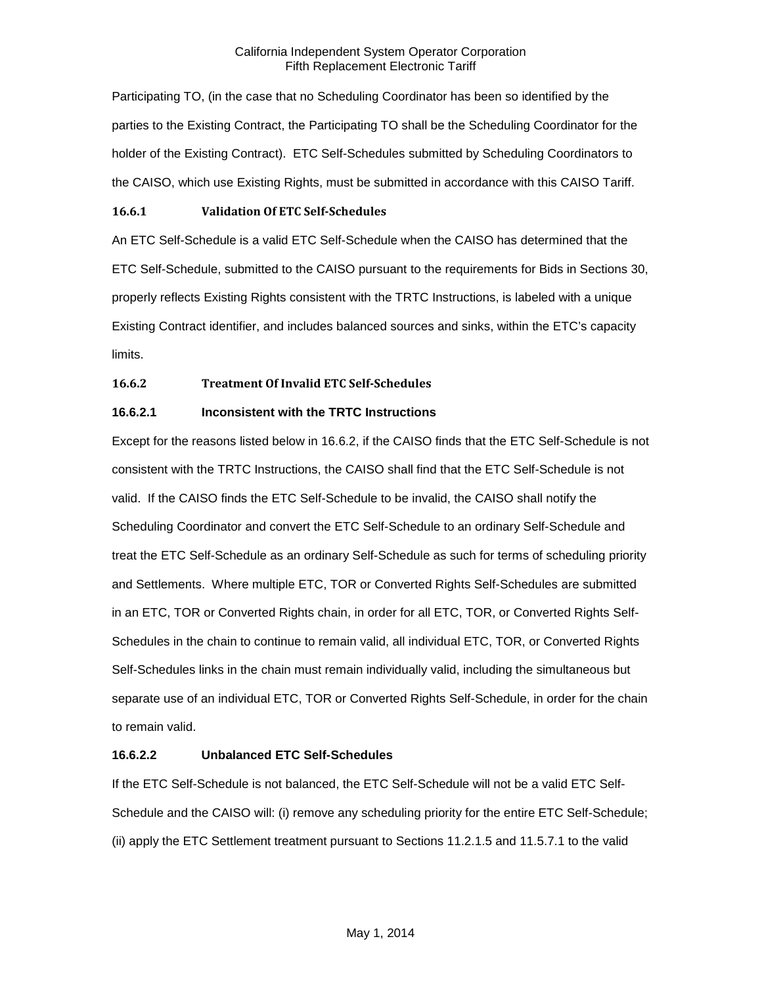Participating TO, (in the case that no Scheduling Coordinator has been so identified by the parties to the Existing Contract, the Participating TO shall be the Scheduling Coordinator for the holder of the Existing Contract). ETC Self-Schedules submitted by Scheduling Coordinators to the CAISO, which use Existing Rights, must be submitted in accordance with this CAISO Tariff.

#### <span id="page-12-0"></span>**16.6.1 Validation Of ETC Self-Schedules**

An ETC Self-Schedule is a valid ETC Self-Schedule when the CAISO has determined that the ETC Self-Schedule, submitted to the CAISO pursuant to the requirements for Bids in Sections 30, properly reflects Existing Rights consistent with the TRTC Instructions, is labeled with a unique Existing Contract identifier, and includes balanced sources and sinks, within the ETC's capacity limits.

# <span id="page-12-1"></span>**16.6.2 Treatment Of Invalid ETC Self-Schedules**

# **16.6.2.1 Inconsistent with the TRTC Instructions**

Except for the reasons listed below in 16.6.2, if the CAISO finds that the ETC Self-Schedule is not consistent with the TRTC Instructions, the CAISO shall find that the ETC Self-Schedule is not valid. If the CAISO finds the ETC Self-Schedule to be invalid, the CAISO shall notify the Scheduling Coordinator and convert the ETC Self-Schedule to an ordinary Self-Schedule and treat the ETC Self-Schedule as an ordinary Self-Schedule as such for terms of scheduling priority and Settlements. Where multiple ETC, TOR or Converted Rights Self-Schedules are submitted in an ETC, TOR or Converted Rights chain, in order for all ETC, TOR, or Converted Rights Self-Schedules in the chain to continue to remain valid, all individual ETC, TOR, or Converted Rights Self-Schedules links in the chain must remain individually valid, including the simultaneous but separate use of an individual ETC, TOR or Converted Rights Self-Schedule, in order for the chain to remain valid.

# **16.6.2.2 Unbalanced ETC Self-Schedules**

If the ETC Self-Schedule is not balanced, the ETC Self-Schedule will not be a valid ETC Self-Schedule and the CAISO will: (i) remove any scheduling priority for the entire ETC Self-Schedule; (ii) apply the ETC Settlement treatment pursuant to Sections 11.2.1.5 and 11.5.7.1 to the valid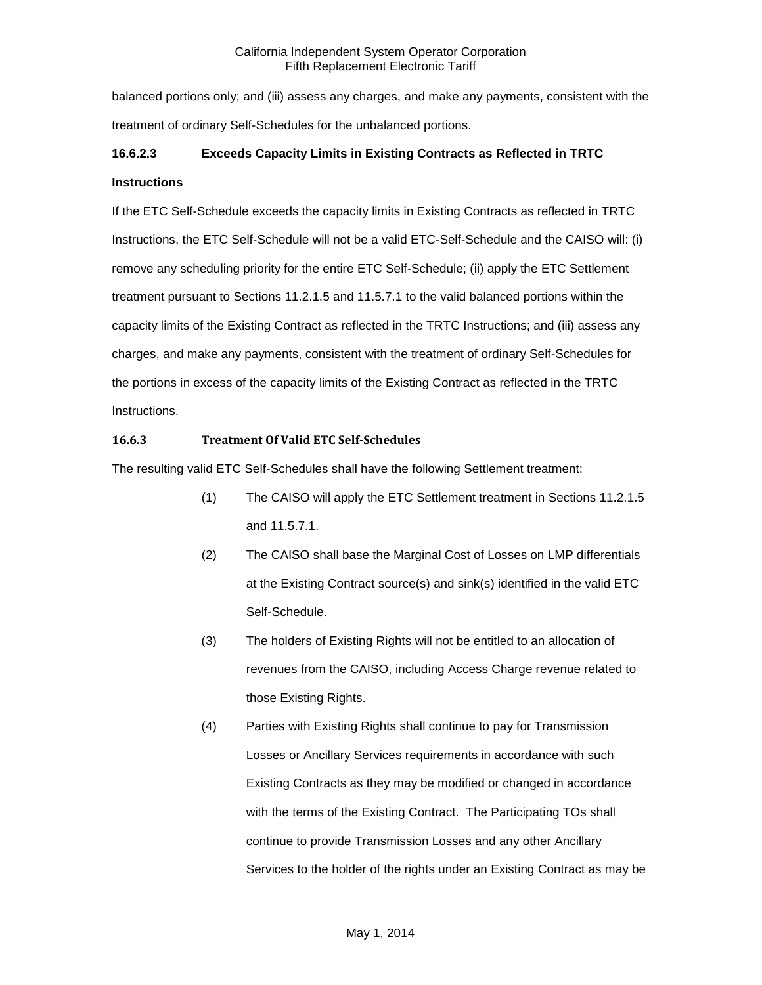balanced portions only; and (iii) assess any charges, and make any payments, consistent with the treatment of ordinary Self-Schedules for the unbalanced portions.

# **16.6.2.3 Exceeds Capacity Limits in Existing Contracts as Reflected in TRTC Instructions**

If the ETC Self-Schedule exceeds the capacity limits in Existing Contracts as reflected in TRTC Instructions, the ETC Self-Schedule will not be a valid ETC-Self-Schedule and the CAISO will: (i) remove any scheduling priority for the entire ETC Self-Schedule; (ii) apply the ETC Settlement treatment pursuant to Sections 11.2.1.5 and 11.5.7.1 to the valid balanced portions within the capacity limits of the Existing Contract as reflected in the TRTC Instructions; and (iii) assess any charges, and make any payments, consistent with the treatment of ordinary Self-Schedules for the portions in excess of the capacity limits of the Existing Contract as reflected in the TRTC Instructions.

# <span id="page-13-0"></span>**16.6.3 Treatment Of Valid ETC Self-Schedules**

The resulting valid ETC Self-Schedules shall have the following Settlement treatment:

- (1) The CAISO will apply the ETC Settlement treatment in Sections 11.2.1.5 and 11.5.7.1.
- (2) The CAISO shall base the Marginal Cost of Losses on LMP differentials at the Existing Contract source(s) and sink(s) identified in the valid ETC Self-Schedule.
- (3) The holders of Existing Rights will not be entitled to an allocation of revenues from the CAISO, including Access Charge revenue related to those Existing Rights.
- (4) Parties with Existing Rights shall continue to pay for Transmission Losses or Ancillary Services requirements in accordance with such Existing Contracts as they may be modified or changed in accordance with the terms of the Existing Contract. The Participating TOs shall continue to provide Transmission Losses and any other Ancillary Services to the holder of the rights under an Existing Contract as may be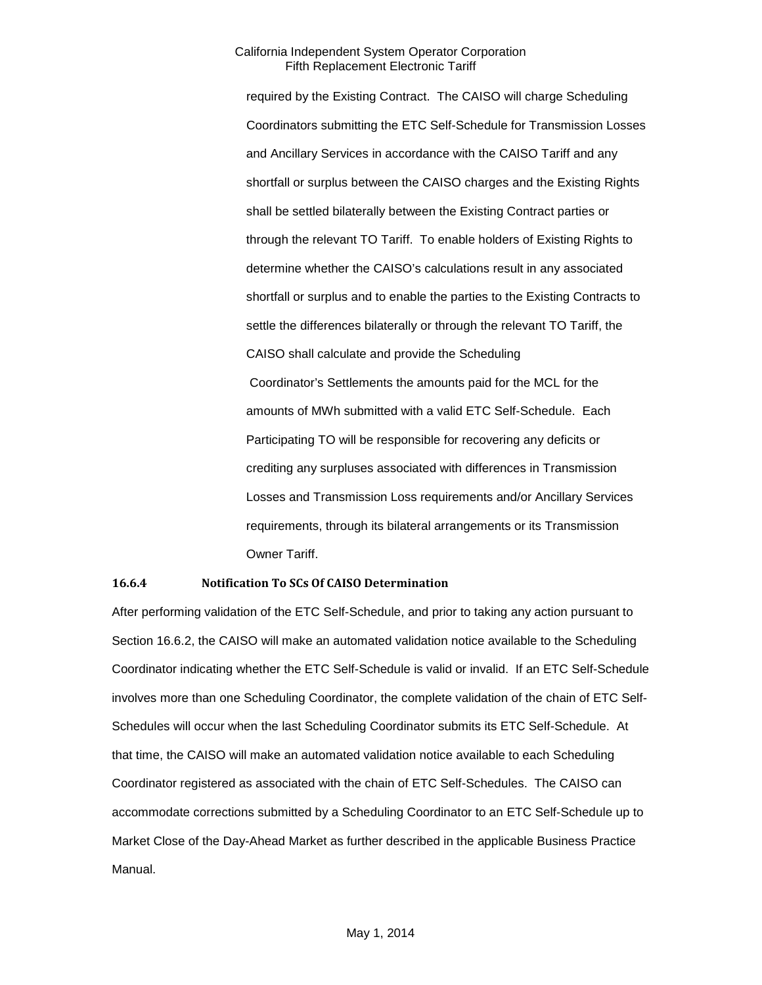required by the Existing Contract. The CAISO will charge Scheduling Coordinators submitting the ETC Self-Schedule for Transmission Losses and Ancillary Services in accordance with the CAISO Tariff and any shortfall or surplus between the CAISO charges and the Existing Rights shall be settled bilaterally between the Existing Contract parties or through the relevant TO Tariff. To enable holders of Existing Rights to determine whether the CAISO's calculations result in any associated shortfall or surplus and to enable the parties to the Existing Contracts to settle the differences bilaterally or through the relevant TO Tariff, the CAISO shall calculate and provide the Scheduling Coordinator's Settlements the amounts paid for the MCL for the amounts of MWh submitted with a valid ETC Self-Schedule. Each Participating TO will be responsible for recovering any deficits or crediting any surpluses associated with differences in Transmission Losses and Transmission Loss requirements and/or Ancillary Services requirements, through its bilateral arrangements or its Transmission Owner Tariff.

#### <span id="page-14-0"></span>**16.6.4 Notification To SCs Of CAISO Determination**

After performing validation of the ETC Self-Schedule, and prior to taking any action pursuant to Section 16.6.2, the CAISO will make an automated validation notice available to the Scheduling Coordinator indicating whether the ETC Self-Schedule is valid or invalid. If an ETC Self-Schedule involves more than one Scheduling Coordinator, the complete validation of the chain of ETC Self-Schedules will occur when the last Scheduling Coordinator submits its ETC Self-Schedule. At that time, the CAISO will make an automated validation notice available to each Scheduling Coordinator registered as associated with the chain of ETC Self-Schedules. The CAISO can accommodate corrections submitted by a Scheduling Coordinator to an ETC Self-Schedule up to Market Close of the Day-Ahead Market as further described in the applicable Business Practice Manual.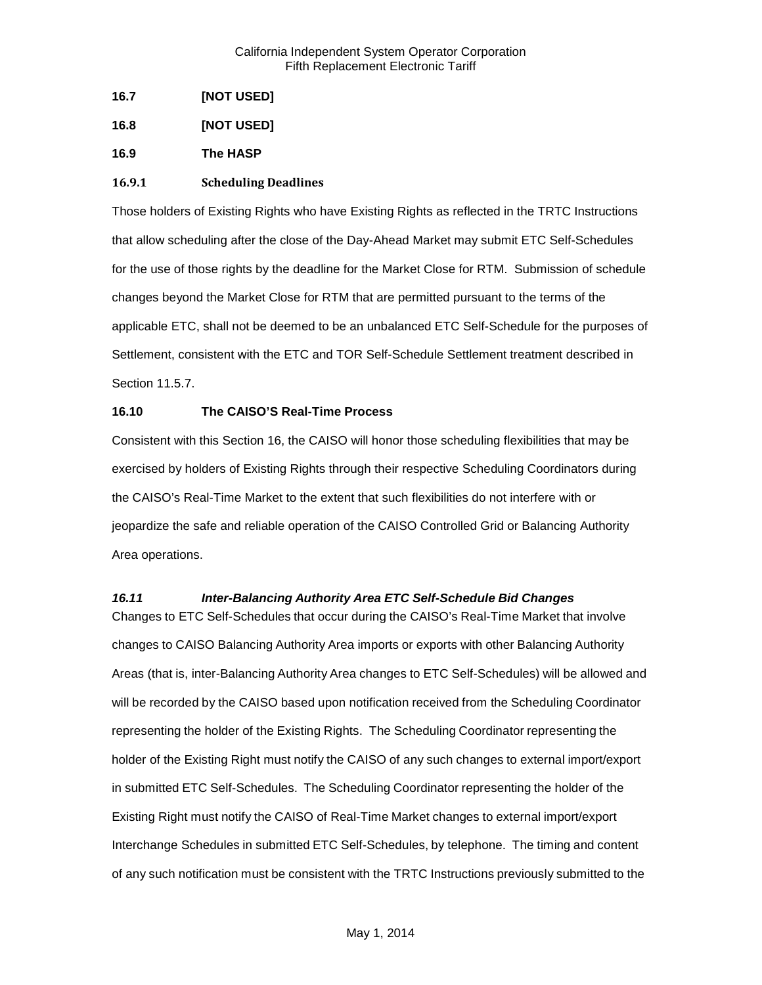<span id="page-15-0"></span>**16.7 [NOT USED]**

<span id="page-15-1"></span>**16.8 [NOT USED]**

<span id="page-15-2"></span>**16.9 The HASP**

#### <span id="page-15-3"></span>**16.9.1 Scheduling Deadlines**

Those holders of Existing Rights who have Existing Rights as reflected in the TRTC Instructions that allow scheduling after the close of the Day-Ahead Market may submit ETC Self-Schedules for the use of those rights by the deadline for the Market Close for RTM. Submission of schedule changes beyond the Market Close for RTM that are permitted pursuant to the terms of the applicable ETC, shall not be deemed to be an unbalanced ETC Self-Schedule for the purposes of Settlement, consistent with the ETC and TOR Self-Schedule Settlement treatment described in Section 11.5.7.

# <span id="page-15-4"></span>**16.10 The CAISO'S Real-Time Process**

Consistent with this Section 16, the CAISO will honor those scheduling flexibilities that may be exercised by holders of Existing Rights through their respective Scheduling Coordinators during the CAISO's Real-Time Market to the extent that such flexibilities do not interfere with or jeopardize the safe and reliable operation of the CAISO Controlled Grid or Balancing Authority Area operations.

#### <span id="page-15-5"></span>*16.11 Inter-Balancing Authority Area ETC Self-Schedule Bid Changes*

Changes to ETC Self-Schedules that occur during the CAISO's Real-Time Market that involve changes to CAISO Balancing Authority Area imports or exports with other Balancing Authority Areas (that is, inter-Balancing Authority Area changes to ETC Self-Schedules) will be allowed and will be recorded by the CAISO based upon notification received from the Scheduling Coordinator representing the holder of the Existing Rights. The Scheduling Coordinator representing the holder of the Existing Right must notify the CAISO of any such changes to external import/export in submitted ETC Self-Schedules. The Scheduling Coordinator representing the holder of the Existing Right must notify the CAISO of Real-Time Market changes to external import/export Interchange Schedules in submitted ETC Self-Schedules, by telephone. The timing and content of any such notification must be consistent with the TRTC Instructions previously submitted to the